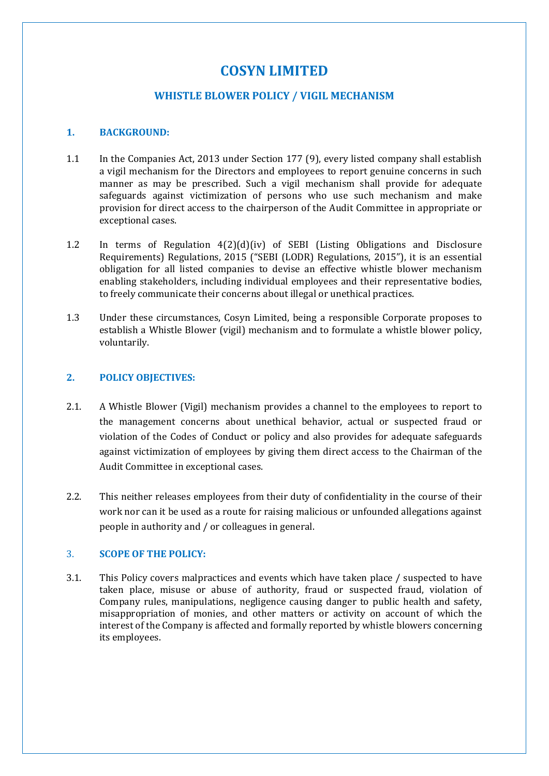# **COSYN LIMITED**

# **WHISTLE BLOWER POLICY / VIGIL MECHANISM**

# **1. BACKGROUND:**

- 1.1 In the Companies Act, 2013 under Section 177 (9), every listed company shall establish a vigil mechanism for the Directors and employees to report genuine concerns in such manner as may be prescribed. Such a vigil mechanism shall provide for adequate safeguards against victimization of persons who use such mechanism and make provision for direct access to the chairperson of the Audit Committee in appropriate or exceptional cases.
- 1.2 In terms of Regulation 4(2)(d)(iv) of SEBI (Listing Obligations and Disclosure Requirements) Regulations, 2015 ("SEBI (LODR) Regulations, 2015"), it is an essential obligation for all listed companies to devise an effective whistle blower mechanism enabling stakeholders, including individual employees and their representative bodies, to freely communicate their concerns about illegal or unethical practices.
- 1.3 Under these circumstances, Cosyn Limited, being a responsible Corporate proposes to establish a Whistle Blower (vigil) mechanism and to formulate a whistle blower policy, voluntarily.

## **2. POLICY OBJECTIVES:**

- 2.1. A Whistle Blower (Vigil) mechanism provides a channel to the employees to report to the management concerns about unethical behavior, actual or suspected fraud or violation of the Codes of Conduct or policy and also provides for adequate safeguards against victimization of employees by giving them direct access to the Chairman of the Audit Committee in exceptional cases.
- 2.2. This neither releases employees from their duty of confidentiality in the course of their work nor can it be used as a route for raising malicious or unfounded allegations against people in authority and / or colleagues in general.

## 3. **SCOPE OF THE POLICY:**

3.1. This Policy covers malpractices and events which have taken place / suspected to have taken place, misuse or abuse of authority, fraud or suspected fraud, violation of Company rules, manipulations, negligence causing danger to public health and safety, misappropriation of monies, and other matters or activity on account of which the interest of the Company is affected and formally reported by whistle blowers concerning its employees.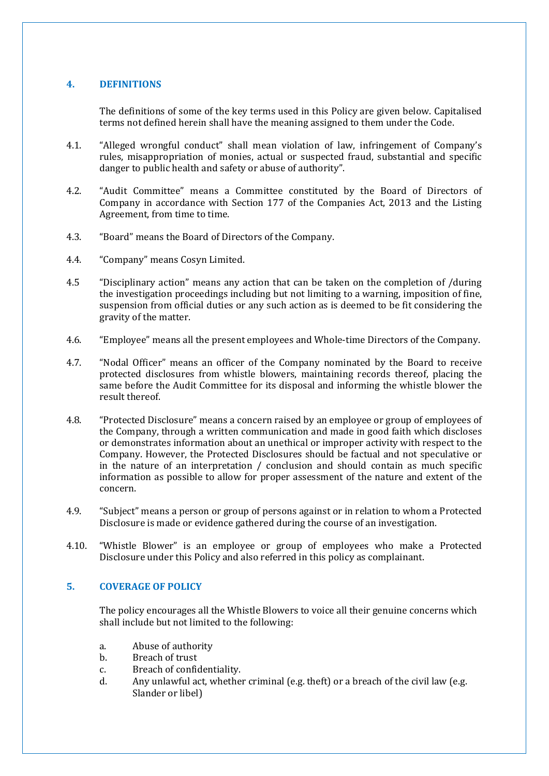## **4. DEFINITIONS**

The definitions of some of the key terms used in this Policy are given below. Capitalised terms not defined herein shall have the meaning assigned to them under the Code.

- 4.1. "Alleged wrongful conduct" shall mean violation of law, infringement of Company's rules, misappropriation of monies, actual or suspected fraud, substantial and specific danger to public health and safety or abuse of authority".
- 4.2. "Audit Committee" means a Committee constituted by the Board of Directors of Company in accordance with Section 177 of the Companies Act, 2013 and the Listing Agreement, from time to time.
- 4.3. "Board" means the Board of Directors of the Company.
- 4.4. "Company" means Cosyn Limited.
- 4.5 "Disciplinary action" means any action that can be taken on the completion of /during the investigation proceedings including but not limiting to a warning, imposition of fine, suspension from official duties or any such action as is deemed to be fit considering the gravity of the matter.
- 4.6. "Employee" means all the present employees and Whole-time Directors of the Company.
- 4.7. "Nodal Officer" means an officer of the Company nominated by the Board to receive protected disclosures from whistle blowers, maintaining records thereof, placing the same before the Audit Committee for its disposal and informing the whistle blower the result thereof.
- 4.8. "Protected Disclosure" means a concern raised by an employee or group of employees of the Company, through a written communication and made in good faith which discloses or demonstrates information about an unethical or improper activity with respect to the Company. However, the Protected Disclosures should be factual and not speculative or in the nature of an interpretation / conclusion and should contain as much specific information as possible to allow for proper assessment of the nature and extent of the concern.
- 4.9. "Subject" means a person or group of persons against or in relation to whom a Protected Disclosure is made or evidence gathered during the course of an investigation.
- 4.10. "Whistle Blower" is an employee or group of employees who make a Protected Disclosure under this Policy and also referred in this policy as complainant.

# **5. COVERAGE OF POLICY**

The policy encourages all the Whistle Blowers to voice all their genuine concerns which shall include but not limited to the following:

- a. Abuse of authority<br>b. Breach of trust
- b. Breach of trust<br>c. Breach of configure
- c. Breach of confidentiality.<br>d. Any unlawful act, whether
- Any unlawful act, whether criminal (e.g. theft) or a breach of the civil law (e.g. Slander or libel)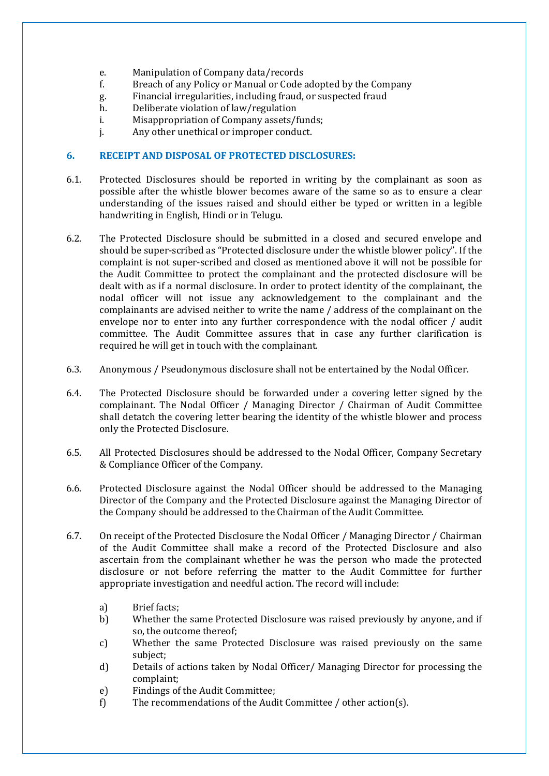- e. Manipulation of Company data/records<br>f. Breach of any Policy or Manual or Code a
- f. Breach of any Policy or Manual or Code adopted by the Company
- g. Financial irregularities, including fraud, or suspected fraud
- h. Deliberate violation of law/regulation<br>i. Misappropriation of Company assets/f
- i. Misappropriation of Company assets/funds;<br>
j. Any other unethical or improper conduct.
- Any other unethical or improper conduct.

# **6. RECEIPT AND DISPOSAL OF PROTECTED DISCLOSURES:**

- 6.1. Protected Disclosures should be reported in writing by the complainant as soon as possible after the whistle blower becomes aware of the same so as to ensure a clear understanding of the issues raised and should either be typed or written in a legible handwriting in English, Hindi or in Telugu.
- 6.2. The Protected Disclosure should be submitted in a closed and secured envelope and should be super-scribed as "Protected disclosure under the whistle blower policy". If the complaint is not super-scribed and closed as mentioned above it will not be possible for the Audit Committee to protect the complainant and the protected disclosure will be dealt with as if a normal disclosure. In order to protect identity of the complainant, the nodal officer will not issue any acknowledgement to the complainant and the complainants are advised neither to write the name / address of the complainant on the envelope nor to enter into any further correspondence with the nodal officer / audit committee. The Audit Committee assures that in case any further clarification is required he will get in touch with the complainant.
- 6.3. Anonymous / Pseudonymous disclosure shall not be entertained by the Nodal Officer.
- 6.4. The Protected Disclosure should be forwarded under a covering letter signed by the complainant. The Nodal Officer / Managing Director / Chairman of Audit Committee shall detatch the covering letter bearing the identity of the whistle blower and process only the Protected Disclosure.
- 6.5. All Protected Disclosures should be addressed to the Nodal Officer, Company Secretary & Compliance Officer of the Company.
- 6.6. Protected Disclosure against the Nodal Officer should be addressed to the Managing Director of the Company and the Protected Disclosure against the Managing Director of the Company should be addressed to the Chairman of the Audit Committee.
- 6.7. On receipt of the Protected Disclosure the Nodal Officer / Managing Director / Chairman of the Audit Committee shall make a record of the Protected Disclosure and also ascertain from the complainant whether he was the person who made the protected disclosure or not before referring the matter to the Audit Committee for further appropriate investigation and needful action. The record will include:
	-
	- a) Brief facts;<br>b) Whether th Whether the same Protected Disclosure was raised previously by anyone, and if so, the outcome thereof;
	- c) Whether the same Protected Disclosure was raised previously on the same subject;
	- d) Details of actions taken by Nodal Officer/ Managing Director for processing the complaint;
	- e) Findings of the Audit Committee;<br>f) The recommendations of the Aud
	- The recommendations of the Audit Committee / other action(s).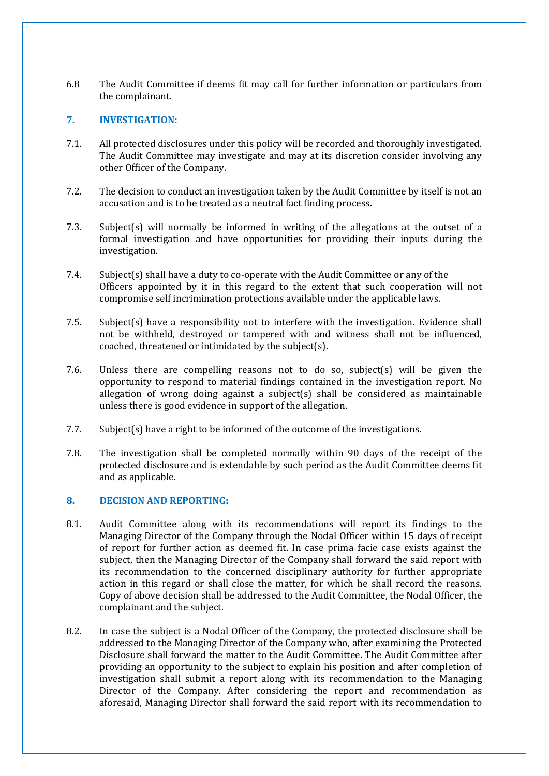6.8 The Audit Committee if deems fit may call for further information or particulars from the complainant.

# **7. INVESTIGATION:**

- 7.1. All protected disclosures under this policy will be recorded and thoroughly investigated. The Audit Committee may investigate and may at its discretion consider involving any other Officer of the Company.
- 7.2. The decision to conduct an investigation taken by the Audit Committee by itself is not an accusation and is to be treated as a neutral fact finding process.
- 7.3. Subject(s) will normally be informed in writing of the allegations at the outset of a formal investigation and have opportunities for providing their inputs during the investigation.
- 7.4. Subject(s) shall have a duty to co-operate with the Audit Committee or any of the Officers appointed by it in this regard to the extent that such cooperation will not compromise self incrimination protections available under the applicable laws.
- 7.5. Subject(s) have a responsibility not to interfere with the investigation. Evidence shall not be withheld, destroyed or tampered with and witness shall not be influenced, coached, threatened or intimidated by the subject(s).
- 7.6. Unless there are compelling reasons not to do so, subject(s) will be given the opportunity to respond to material findings contained in the investigation report. No allegation of wrong doing against a subject(s) shall be considered as maintainable unless there is good evidence in support of the allegation.
- 7.7. Subject(s) have a right to be informed of the outcome of the investigations.
- 7.8. The investigation shall be completed normally within 90 days of the receipt of the protected disclosure and is extendable by such period as the Audit Committee deems fit and as applicable.

# **8. DECISION AND REPORTING:**

- 8.1. Audit Committee along with its recommendations will report its findings to the Managing Director of the Company through the Nodal Officer within 15 days of receipt of report for further action as deemed fit. In case prima facie case exists against the subject, then the Managing Director of the Company shall forward the said report with its recommendation to the concerned disciplinary authority for further appropriate action in this regard or shall close the matter, for which he shall record the reasons. Copy of above decision shall be addressed to the Audit Committee, the Nodal Officer, the complainant and the subject.
- 8.2. In case the subject is a Nodal Officer of the Company, the protected disclosure shall be addressed to the Managing Director of the Company who, after examining the Protected Disclosure shall forward the matter to the Audit Committee. The Audit Committee after providing an opportunity to the subject to explain his position and after completion of investigation shall submit a report along with its recommendation to the Managing Director of the Company. After considering the report and recommendation as aforesaid, Managing Director shall forward the said report with its recommendation to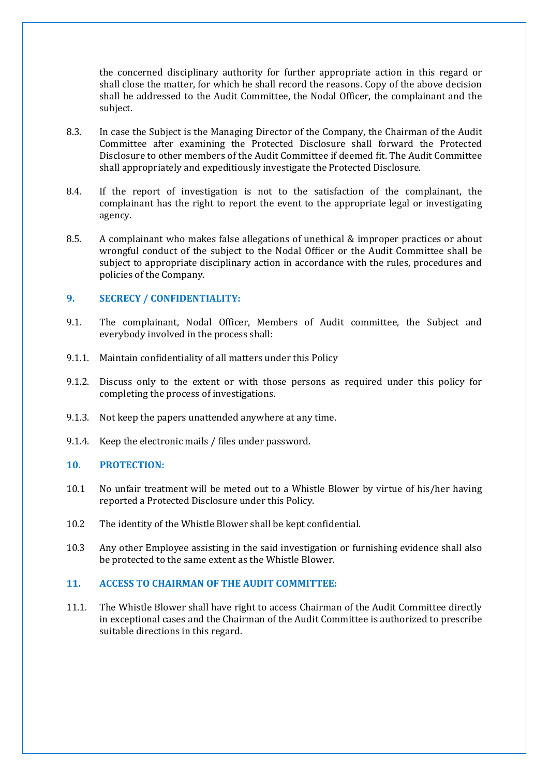the concerned disciplinary authority for further appropriate action in this regard or shall close the matter, for which he shall record the reasons. Copy of the above decision shall be addressed to the Audit Committee, the Nodal Officer, the complainant and the subject.

- 8.3. In case the Subject is the Managing Director of the Company, the Chairman of the Audit Committee after examining the Protected Disclosure shall forward the Protected Disclosure to other members of the Audit Committee if deemed fit. The Audit Committee shall appropriately and expeditiously investigate the Protected Disclosure.
- 8.4. If the report of investigation is not to the satisfaction of the complainant, the complainant has the right to report the event to the appropriate legal or investigating agency.
- 8.5. A complainant who makes false allegations of unethical & improper practices or about wrongful conduct of the subject to the Nodal Officer or the Audit Committee shall be subject to appropriate disciplinary action in accordance with the rules, procedures and policies of the Company.

## **9. SECRECY / CONFIDENTIALITY:**

- 9.1. The complainant, Nodal Officer, Members of Audit committee, the Subject and everybody involved in the process shall:
- 9.1.1. Maintain confidentiality of all matters under this Policy
- 9.1.2. Discuss only to the extent or with those persons as required under this policy for completing the process of investigations.
- 9.1.3. Not keep the papers unattended anywhere at any time.
- 9.1.4. Keep the electronic mails / files under password.

## **10. PROTECTION:**

- 10.1 No unfair treatment will be meted out to a Whistle Blower by virtue of his/her having reported a Protected Disclosure under this Policy.
- 10.2 The identity of the Whistle Blower shall be kept confidential.
- 10.3 Any other Employee assisting in the said investigation or furnishing evidence shall also be protected to the same extent as the Whistle Blower.

# **11. ACCESS TO CHAIRMAN OF THE AUDIT COMMITTEE:**

11.1. The Whistle Blower shall have right to access Chairman of the Audit Committee directly in exceptional cases and the Chairman of the Audit Committee is authorized to prescribe suitable directions in this regard.